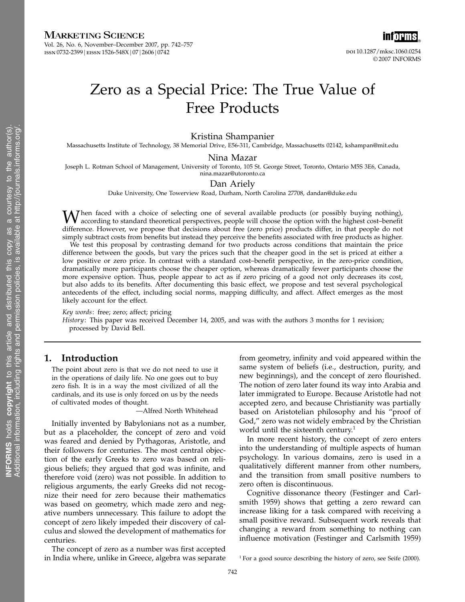# MARKETING SCIENCE

Vol. 26, No. 6, November–December 2007, pp. 742–757 1ssn 0732-2399 | eissn 1526-548X | 07 | 2606 | 0742



# Zero as a Special Price: The True Value of Free Products

### Kristina Shampanier

Massachusetts Institute of Technology, 38 Memorial Drive, E56-311, Cambridge, Massachusetts 02142, kshampan@mit.edu

#### Nina Mazar

Joseph L. Rotman School of Management, University of Toronto, 105 St. George Street, Toronto, Ontario M5S 3E6, Canada, nina.mazar@utoronto.ca

### Dan Ariely

Duke University, One Towerview Road, Durham, North Carolina 27708, dandan@duke.edu

When faced with a choice of selecting one of several available products (or possibly buying nothing), according to standard theoretical perspectives, people will choose the option with the highest cost–benefit difference. However, we propose that decisions about free (zero price) products differ, in that people do not simply subtract costs from benefits but instead they perceive the benefits associated with free products as higher.

We test this proposal by contrasting demand for two products across conditions that maintain the price difference between the goods, but vary the prices such that the cheaper good in the set is priced at either a low positive or zero price. In contrast with a standard cost–benefit perspective, in the zero-price condition, dramatically more participants choose the cheaper option, whereas dramatically fewer participants choose the more expensive option. Thus, people appear to act as if zero pricing of a good not only decreases its cost, but also adds to its benefits. After documenting this basic effect, we propose and test several psychological antecedents of the effect, including social norms, mapping difficulty, and affect. Affect emerges as the most likely account for the effect.

Key words: free; zero; affect; pricing

History: This paper was received December 14, 2005, and was with the authors 3 months for 1 revision; processed by David Bell.

# 1. Introduction

The point about zero is that we do not need to use it in the operations of daily life. No one goes out to buy zero fish. It is in a way the most civilized of all the cardinals, and its use is only forced on us by the needs of cultivated modes of thought.

—Alfred North Whitehead

Initially invented by Babylonians not as a number, but as a placeholder, the concept of zero and void was feared and denied by Pythagoras, Aristotle, and their followers for centuries. The most central objection of the early Greeks to zero was based on religious beliefs; they argued that god was infinite, and therefore void (zero) was not possible. In addition to religious arguments, the early Greeks did not recognize their need for zero because their mathematics was based on geometry, which made zero and negative numbers unnecessary. This failure to adopt the concept of zero likely impeded their discovery of calculus and slowed the development of mathematics for centuries.

The concept of zero as a number was first accepted in India where, unlike in Greece, algebra was separate from geometry, infinity and void appeared within the same system of beliefs (i.e., destruction, purity, and new beginnings), and the concept of zero flourished. The notion of zero later found its way into Arabia and later immigrated to Europe. Because Aristotle had not accepted zero, and because Christianity was partially based on Aristotelian philosophy and his "proof of God," zero was not widely embraced by the Christian world until the sixteenth century.<sup>1</sup>

In more recent history, the concept of zero enters into the understanding of multiple aspects of human psychology. In various domains, zero is used in a qualitatively different manner from other numbers, and the transition from small positive numbers to zero often is discontinuous.

Cognitive dissonance theory (Festinger and Carlsmith 1959) shows that getting a zero reward can increase liking for a task compared with receiving a small positive reward. Subsequent work reveals that changing a reward from something to nothing can influence motivation (Festinger and Carlsmith 1959)

 $1$  For a good source describing the history of zero, see Seife (2000).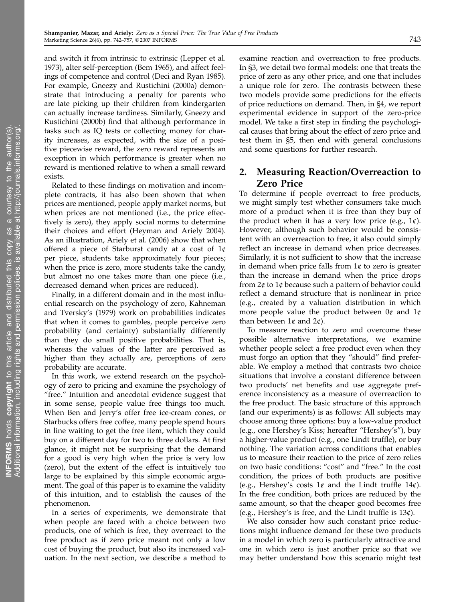and switch it from intrinsic to extrinsic (Lepper et al. 1973), alter self-perception (Bem 1965), and affect feelings of competence and control (Deci and Ryan 1985). For example, Gneezy and Rustichini (2000a) demonstrate that introducing a penalty for parents who are late picking up their children from kindergarten can actually increase tardiness. Similarly, Gneezy and Rustichini (2000b) find that although performance in tasks such as IQ tests or collecting money for charity increases, as expected, with the size of a positive piecewise reward, the zero reward represents an exception in which performance is greater when no reward is mentioned relative to when a small reward exists.

Related to these findings on motivation and incomplete contracts, it has also been shown that when prices are mentioned, people apply market norms, but when prices are not mentioned (i.e., the price effectively is zero), they apply social norms to determine their choices and effort (Heyman and Ariely 2004). As an illustration, Ariely et al. (2006) show that when offered a piece of Starburst candy at a cost of  $1¢$ per piece, students take approximately four pieces; when the price is zero, more students take the candy, but almost no one takes more than one piece (i.e., decreased demand when prices are reduced).

Finally, in a different domain and in the most influential research on the psychology of zero, Kahneman and Tversky's (1979) work on probabilities indicates that when it comes to gambles, people perceive zero probability (and certainty) substantially differently than they do small positive probabilities. That is, whereas the values of the latter are perceived as higher than they actually are, perceptions of zero probability are accurate.

In this work, we extend research on the psychology of zero to pricing and examine the psychology of "free." Intuition and anecdotal evidence suggest that in some sense, people value free things too much. When Ben and Jerry's offer free ice-cream cones, or Starbucks offers free coffee, many people spend hours in line waiting to get the free item, which they could buy on a different day for two to three dollars. At first glance, it might not be surprising that the demand for a good is very high when the price is very low (zero), but the extent of the effect is intuitively too large to be explained by this simple economic argument. The goal of this paper is to examine the validity of this intuition, and to establish the causes of the phenomenon.

In a series of experiments, we demonstrate that when people are faced with a choice between two products, one of which is free, they overreact to the free product as if zero price meant not only a low cost of buying the product, but also its increased valuation. In the next section, we describe a method to

examine reaction and overreaction to free products. In §3, we detail two formal models: one that treats the price of zero as any other price, and one that includes a unique role for zero. The contrasts between these two models provide some predictions for the effects of price reductions on demand. Then, in §4, we report experimental evidence in support of the zero-price model. We take a first step in finding the psychological causes that bring about the effect of zero price and test them in §5, then end with general conclusions and some questions for further research.

# 2. Measuring Reaction/Overreaction to Zero Price

To determine if people overreact to free products, we might simply test whether consumers take much more of a product when it is free than they buy of the product when it has a very low price (e.g.,  $1¢$ ). However, although such behavior would be consistent with an overreaction to free, it also could simply reflect an increase in demand when price decreases. Similarly, it is not sufficient to show that the increase in demand when price falls from  $1¢$  to zero is greater than the increase in demand when the price drops from  $2¢$  to  $1¢$  because such a pattern of behavior could reflect a demand structure that is nonlinear in price (e.g., created by a valuation distribution in which more people value the product between  $0¢$  and  $1¢$ than between  $1¢$  and  $2¢$ ).

To measure reaction to zero and overcome these possible alternative interpretations, we examine whether people select a free product even when they must forgo an option that they "should" find preferable. We employ a method that contrasts two choice situations that involve a constant difference between two products' net benefits and use aggregate preference inconsistency as a measure of overreaction to the free product. The basic structure of this approach (and our experiments) is as follows: All subjects may choose among three options: buy a low-value product (e.g., one Hershey's Kiss; hereafter "Hershey's"), buy a higher-value product (e.g., one Lindt truffle), or buy nothing. The variation across conditions that enables us to measure their reaction to the price of zero relies on two basic conditions: "cost" and "free." In the cost condition, the prices of both products are positive (e.g., Hershey's costs  $1¢$  and the Lindt truffle  $14¢$ ). In the free condition, both prices are reduced by the same amount, so that the cheaper good becomes free (e.g., Hershey's is free, and the Lindt truffle is  $13¢$ ).

We also consider how such constant price reductions might influence demand for these two products in a model in which zero is particularly attractive and one in which zero is just another price so that we may better understand how this scenario might test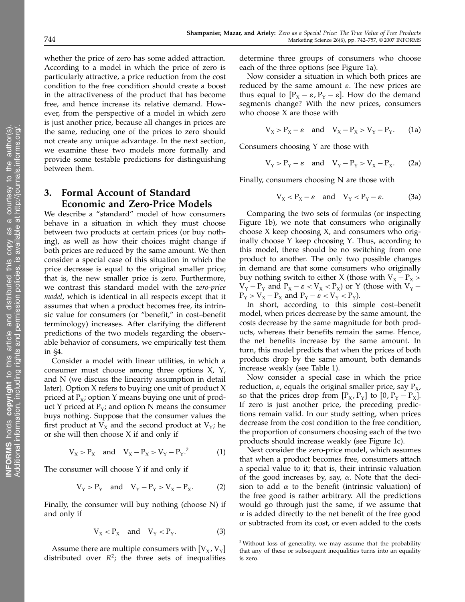whether the price of zero has some added attraction. According to a model in which the price of zero is particularly attractive, a price reduction from the cost condition to the free condition should create a boost in the attractiveness of the product that has become free, and hence increase its relative demand. However, from the perspective of a model in which zero is just another price, because all changes in prices are the same, reducing one of the prices to zero should not create any unique advantage. In the next section, we examine these two models more formally and provide some testable predictions for distinguishing between them.

# 3. Formal Account of Standard Economic and Zero-Price Models

We describe a "standard" model of how consumers behave in a situation in which they must choose between two products at certain prices (or buy nothing), as well as how their choices might change if both prices are reduced by the same amount. We then consider a special case of this situation in which the price decrease is equal to the original smaller price; that is, the new smaller price is zero. Furthermore, we contrast this standard model with the zero-price model, which is identical in all respects except that it assumes that when a product becomes free, its intrinsic value for consumers (or "benefit," in cost–benefit terminology) increases. After clarifying the different predictions of the two models regarding the observable behavior of consumers, we empirically test them in §4.

Consider a model with linear utilities, in which a consumer must choose among three options X, Y, and N (we discuss the linearity assumption in detail later). Option X refers to buying one unit of product X priced at  $P_x$ ; option Y means buying one unit of product Y priced at  $P_y$ ; and option N means the consumer buys nothing. Suppose that the consumer values the first product at  $V_x$  and the second product at  $V_y$ ; he or she will then choose X if and only if

$$
V_X > P_X
$$
 and  $V_X - P_X > V_Y - P_Y$ <sup>2</sup> (1)

The consumer will choose Y if and only if

$$
V_Y > P_Y
$$
 and  $V_Y - P_Y > V_X - P_X$ . (2)

Finally, the consumer will buy nothing (choose N) if and only if

$$
V_X < P_X \quad \text{and} \quad V_Y < P_Y. \tag{3}
$$

Assume there are multiple consumers with  $[V_x, V_y]$ distributed over  $R^2$ ; the three sets of inequalities

determine three groups of consumers who choose each of the three options (see Figure 1a).

Now consider a situation in which both prices are reduced by the same amount  $\varepsilon$ . The new prices are thus equal to  $[P_X - \varepsilon, P_Y - \varepsilon]$ . How do the demand segments change? With the new prices, consumers who choose X are those with

$$
V_X > P_X - \varepsilon \quad \text{and} \quad V_X - P_X > V_Y - P_Y. \tag{1a}
$$

Consumers choosing Y are those with

$$
V_Y > P_Y - \varepsilon \quad \text{and} \quad V_Y - P_Y > V_X - P_X. \tag{2a}
$$

Finally, consumers choosing N are those with

$$
V_X < P_X - \varepsilon \quad \text{and} \quad V_Y < P_Y - \varepsilon. \tag{3a}
$$

Comparing the two sets of formulas (or inspecting Figure 1b), we note that consumers who originally choose X keep choosing X, and consumers who originally choose Y keep choosing Y. Thus, according to this model, there should be no switching from one product to another. The only two possible changes in demand are that some consumers who originally buy nothing switch to either X (those with  $V_x - P_x$ )  $V_Y - P_Y$  and  $P_X - \varepsilon < V_X < P_X$ ) or Y (those with  $V_Y P_Y > V_X - P_X$  and  $P_Y - \varepsilon < V_Y < P_Y$ ).

In short, according to this simple cost–benefit model, when prices decrease by the same amount, the costs decrease by the same magnitude for both products, whereas their benefits remain the same. Hence, the net benefits increase by the same amount. In turn, this model predicts that when the prices of both products drop by the same amount, both demands increase weakly (see Table 1).

Now consider a special case in which the price reduction,  $\varepsilon$ , equals the original smaller price, say  $P_{\rm x}$ , so that the prices drop from  $[P_X, P_Y]$  to  $[0, P_Y - P_X]$ . If zero is just another price, the preceding predictions remain valid. In our study setting, when prices decrease from the cost condition to the free condition, the proportion of consumers choosing each of the two products should increase weakly (see Figure 1c).

Next consider the zero-price model, which assumes that when a product becomes free, consumers attach a special value to it; that is, their intrinsic valuation of the good increases by, say,  $\alpha$ . Note that the decision to add  $\alpha$  to the benefit (intrinsic valuation) of the free good is rather arbitrary. All the predictions would go through just the same, if we assume that  $\alpha$  is added directly to the net benefit of the free good or subtracted from its cost, or even added to the costs

<sup>2</sup> Without loss of generality, we may assume that the probability that any of these or subsequent inequalities turns into an equality is zero.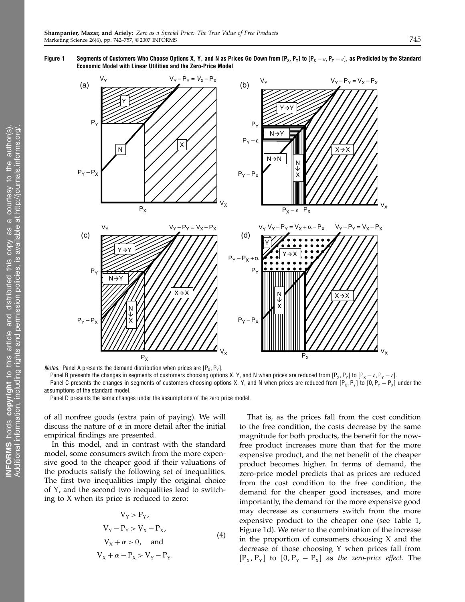Figure 1  $\;$  Segments of Customers Who Choose Options X, Y, and N as Prices Go Down from [P $_\textsf{x}$ ,  $_\textsf{Y}$ ] to [P $_\textsf{x}-\varepsilon$ ,  $\textsf{P}_\textsf{Y}-\varepsilon$ ], as Predicted by the Standard Economic Model with Linear Utilities and the Zero-Price Model



*Notes.* Panel A presents the demand distribution when prices are  $[P_x, P_y]$ .

Panel B presents the changes in segments of customers choosing options X, Y, and N when prices are reduced from [P<sub>x</sub>, P<sub>y</sub>] to [P<sub>x</sub> −  $\varepsilon$ , P<sub>y</sub> −  $\varepsilon$ ]. Panel C presents the changes in segments of customers choosing options X, Y, and N when prices are reduced from  $[P_X, P_Y]$  to  $[0, P_Y - P_X]$  under the assumptions of the standard model.

Panel D presents the same changes under the assumptions of the zero price model.

of all nonfree goods (extra pain of paying). We will discuss the nature of  $\alpha$  in more detail after the initial empirical findings are presented.

In this model, and in contrast with the standard model, some consumers switch from the more expensive good to the cheaper good if their valuations of the products satisfy the following set of inequalities. The first two inequalities imply the original choice of Y, and the second two inequalities lead to switching to X when its price is reduced to zero:

$$
V_{Y} > P_{Y},
$$
  
\n
$$
V_{Y} - P_{Y} > V_{X} - P_{X},
$$
  
\n
$$
V_{X} + \alpha > 0, \text{ and}
$$
  
\n
$$
V_{X} + \alpha - P_{X} > V_{Y} - P_{Y}.
$$
  
\n(4)

That is, as the prices fall from the cost condition to the free condition, the costs decrease by the same magnitude for both products, the benefit for the nowfree product increases more than that for the more expensive product, and the net benefit of the cheaper product becomes higher. In terms of demand, the zero-price model predicts that as prices are reduced from the cost condition to the free condition, the demand for the cheaper good increases, and more importantly, the demand for the more expensive good may decrease as consumers switch from the more expensive product to the cheaper one (see Table 1, Figure 1d). We refer to the combination of the increase in the proportion of consumers choosing X and the decrease of those choosing Y when prices fall from  $[P_X, P_Y]$  to  $[0, P_Y - P_X]$  as the zero-price effect. The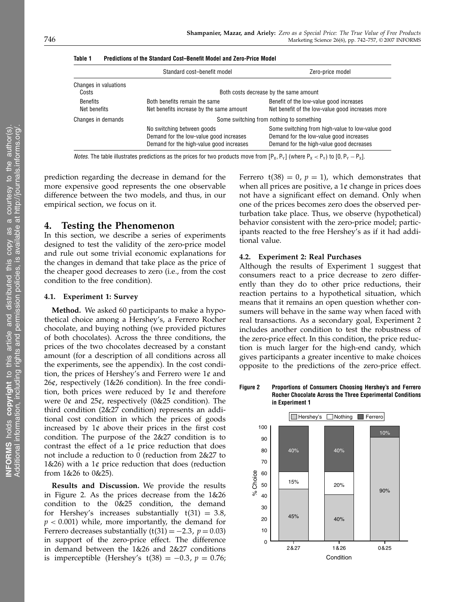|                                 | Standard cost-benefit model                                                                                       | Zero-price model                                                                                                                        |  |  |  |
|---------------------------------|-------------------------------------------------------------------------------------------------------------------|-----------------------------------------------------------------------------------------------------------------------------------------|--|--|--|
| Changes in valuations<br>Costs  | Both costs decrease by the same amount                                                                            |                                                                                                                                         |  |  |  |
| <b>Benefits</b><br>Net benefits | Both benefits remain the same<br>Net benefits increase by the same amount                                         | Benefit of the low-value good increases<br>Net benefit of the low-value good increases more                                             |  |  |  |
| Changes in demands              | Some switching from nothing to something                                                                          |                                                                                                                                         |  |  |  |
|                                 | No switching between goods<br>Demand for the low-value good increases<br>Demand for the high-value good increases | Some switching from high-value to low-value good<br>Demand for the low-value good increases<br>Demand for the high-value good decreases |  |  |  |

Table 1 Predictions of the Standard Cost–Benefit Model and Zero-Price Model

*Notes*. The table illustrates predictions as the prices for two products move from [P<sub>X</sub>, P<sub>Y</sub>] (where P<sub>X</sub> < P<sub>Y</sub>) to [0, P<sub>Y</sub>  $-$  P<sub>X</sub>].

prediction regarding the decrease in demand for the more expensive good represents the one observable difference between the two models, and thus, in our empirical section, we focus on it.

# 4. Testing the Phenomenon

In this section, we describe a series of experiments designed to test the validity of the zero-price model and rule out some trivial economic explanations for the changes in demand that take place as the price of the cheaper good decreases to zero (i.e., from the cost condition to the free condition).

# 4.1. Experiment 1: Survey

Method. We asked 60 participants to make a hypothetical choice among a Hershey's, a Ferrero Rocher chocolate, and buying nothing (we provided pictures of both chocolates). Across the three conditions, the prices of the two chocolates decreased by a constant amount (for a description of all conditions across all the experiments, see the appendix). In the cost condition, the prices of Hershey's and Ferrero were  $1¢$  and  $26¢$ , respectively (1&26 condition). In the free condition, both prices were reduced by  $1¢$  and therefore were  $0\ell$  and  $25\ell$ , respectively (0&25 condition). The third condition (2&27 condition) represents an additional cost condition in which the prices of goods increased by  $1¢$  above their prices in the first cost condition. The purpose of the 2&27 condition is to contrast the effect of a  $1¢$  price reduction that does not include a reduction to 0 (reduction from 2&27 to 1&26) with a  $1¢$  price reduction that does (reduction from 1&26 to 0&25).

Results and Discussion. We provide the results in Figure 2. As the prices decrease from the 1&26 condition to the 0&25 condition, the demand for Hershey's increases substantially  $t(31) = 3.8$ ,  $p < 0.001$ ) while, more importantly, the demand for Ferrero decreases substantially  $(t(31) = -2.3, p = 0.03)$ in support of the zero-price effect. The difference in demand between the 1&26 and 2&27 conditions is imperceptible (Hershey's  $t(38) = -0.3$ ,  $p = 0.76$ ;

Ferrero  $t(38) = 0$ ,  $p = 1$ ), which demonstrates that when all prices are positive, a  $1¢$  change in prices does not have a significant effect on demand. Only when one of the prices becomes zero does the observed perturbation take place. Thus, we observe (hypothetical) behavior consistent with the zero-price model; participants reacted to the free Hershey's as if it had additional value.

# 4.2. Experiment 2: Real Purchases

Shampanier, Mazar, and Ariely: Zero as a Special Price: The True Value of Free Products

Although the results of Experiment 1 suggest that consumers react to a price decrease to zero differently than they do to other price reductions, their reaction pertains to a hypothetical situation, which means that it remains an open question whether consumers will behave in the same way when faced with real transactions. As a secondary goal, Experiment 2 includes another condition to test the robustness of the zero-price effect. In this condition, the price reduction is much larger for the high-end candy, which gives participants a greater incentive to make choices opposite to the predictions of the zero-price effect.

Figure 2 Proportions of Consumers Choosing Hershey's and Ferrero Rocher Chocolate Across the Three Experimental Conditions in Experiment 1

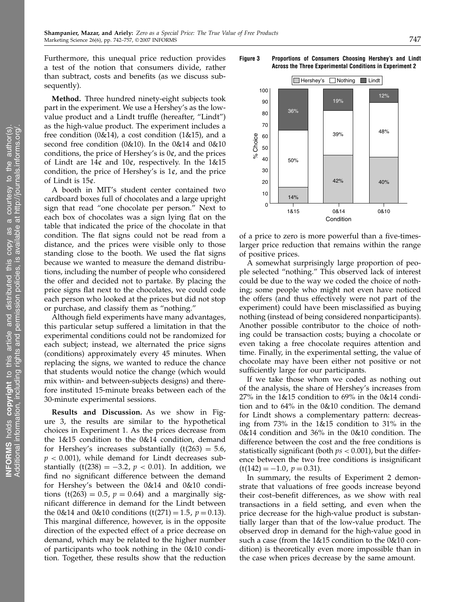Furthermore, this unequal price reduction provides a test of the notion that consumers divide, rather than subtract, costs and benefits (as we discuss subsequently).

Method. Three hundred ninety-eight subjects took part in the experiment. We use a Hershey's as the lowvalue product and a Lindt truffle (hereafter, "Lindt") as the high-value product. The experiment includes a free condition  $(0&14)$ , a cost condition  $(1&15)$ , and a second free condition (0&10). In the 0&14 and 0&10 conditions, the price of Hershey's is  $0¢$ , and the prices of Lindt are  $14¢$  and  $10¢$ , respectively. In the  $1&15$ condition, the price of Hershey's is  $1¢$ , and the price of Lindt is 15¢.

A booth in MIT's student center contained two cardboard boxes full of chocolates and a large upright sign that read "one chocolate per person." Next to each box of chocolates was a sign lying flat on the table that indicated the price of the chocolate in that condition. The flat signs could not be read from a distance, and the prices were visible only to those standing close to the booth. We used the flat signs because we wanted to measure the demand distributions, including the number of people who considered the offer and decided not to partake. By placing the price signs flat next to the chocolates, we could code each person who looked at the prices but did not stop or purchase, and classify them as "nothing."

Although field experiments have many advantages, this particular setup suffered a limitation in that the experimental conditions could not be randomized for each subject; instead, we alternated the price signs (conditions) approximately every 45 minutes. When replacing the signs, we wanted to reduce the chance that students would notice the change (which would mix within- and between-subjects designs) and therefore instituted 15-minute breaks between each of the 30-minute experimental sessions.

Results and Discussion. As we show in Figure 3, the results are similar to the hypothetical choices in Experiment 1. As the prices decrease from the 1&15 condition to the 0&14 condition, demand for Hershey's increases substantially  $(t(263) = 5.6,$  $p < 0.001$ ), while demand for Lindt decreases substantially  $(t(238) = -3.2, p < 0.01)$ . In addition, we find no significant difference between the demand for Hershey's between the 0&14 and 0&10 conditions (t(263) = 0.5,  $p = 0.64$ ) and a marginally significant difference in demand for the Lindt between the 0&14 and 0&10 conditions  $(t(271) = 1.5, p = 0.13)$ . This marginal difference, however, is in the opposite direction of the expected effect of a price decrease on demand, which may be related to the higher number of participants who took nothing in the 0&10 condition. Together, these results show that the reduction

Figure 3 Proportions of Consumers Choosing Hershey's and Lindt Across the Three Experimental Conditions in Experiment 2



of a price to zero is more powerful than a five-timeslarger price reduction that remains within the range of positive prices.

A somewhat surprisingly large proportion of people selected "nothing." This observed lack of interest could be due to the way we coded the choice of nothing; some people who might not even have noticed the offers (and thus effectively were not part of the experiment) could have been misclassified as buying nothing (instead of being considered nonparticipants). Another possible contributor to the choice of nothing could be transaction costs; buying a chocolate or even taking a free chocolate requires attention and time. Finally, in the experimental setting, the value of chocolate may have been either not positive or not sufficiently large for our participants.

If we take those whom we coded as nothing out of the analysis, the share of Hershey's increases from 27% in the 1&15 condition to 69% in the 0&14 condition and to 64% in the 0&10 condition. The demand for Lindt shows a complementary pattern: decreasing from 73% in the 1&15 condition to 31% in the 0&14 condition and 36% in the 0&10 condition. The difference between the cost and the free conditions is statistically significant (both  $ps < 0.001$ ), but the difference between the two free conditions is insignificant  $(t(142) = -1.0, p = 0.31).$ 

In summary, the results of Experiment 2 demonstrate that valuations of free goods increase beyond their cost–benefit differences, as we show with real transactions in a field setting, and even when the price decrease for the high-value product is substantially larger than that of the low-value product. The observed drop in demand for the high-value good in such a case (from the 1&15 condition to the 0&10 condition) is theoretically even more impossible than in the case when prices decrease by the same amount.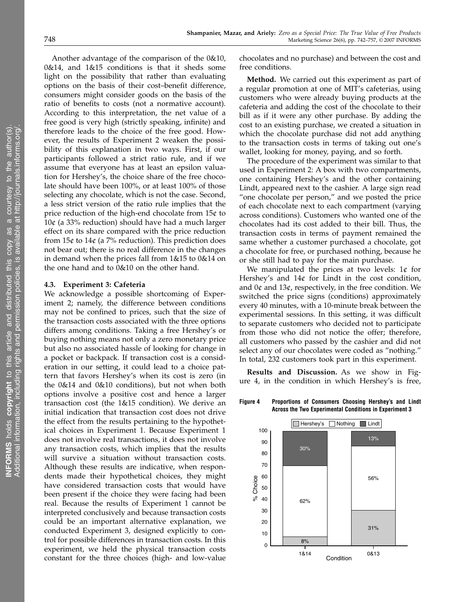Another advantage of the comparison of the 0&10, 0&14, and 1&15 conditions is that it sheds some light on the possibility that rather than evaluating options on the basis of their cost–benefit difference, consumers might consider goods on the basis of the ratio of benefits to costs (not a normative account). According to this interpretation, the net value of a free good is very high (strictly speaking, infinite) and therefore leads to the choice of the free good. However, the results of Experiment 2 weaken the possibility of this explanation in two ways. First, if our participants followed a strict ratio rule, and if we assume that everyone has at least an epsilon valuation for Hershey's, the choice share of the free chocolate should have been 100%, or at least 100% of those selecting any chocolate, which is not the case. Second, a less strict version of the ratio rule implies that the price reduction of the high-end chocolate from 15¢ to  $10¢$  (a 33% reduction) should have had a much larger effect on its share compared with the price reduction from  $15¢$  to  $14¢$  (a 7% reduction). This prediction does not bear out; there is no real difference in the changes in demand when the prices fall from 1&15 to 0&14 on the one hand and to 0&10 on the other hand.

# 4.3. Experiment 3: Cafeteria

We acknowledge a possible shortcoming of Experiment 2; namely, the difference between conditions may not be confined to prices, such that the size of the transaction costs associated with the three options differs among conditions. Taking a free Hershey's or buying nothing means not only a zero monetary price but also no associated hassle of looking for change in a pocket or backpack. If transaction cost is a consideration in our setting, it could lead to a choice pattern that favors Hershey's when its cost is zero (in the 0&14 and 0&10 conditions), but not when both options involve a positive cost and hence a larger transaction cost (the 1&15 condition). We derive an initial indication that transaction cost does not drive the effect from the results pertaining to the hypothetical choices in Experiment 1. Because Experiment 1 does not involve real transactions, it does not involve any transaction costs, which implies that the results will survive a situation without transaction costs. Although these results are indicative, when respondents made their hypothetical choices, they might have considered transaction costs that would have been present if the choice they were facing had been real. Because the results of Experiment 1 cannot be interpreted conclusively and because transaction costs could be an important alternative explanation, we conducted Experiment 3, designed explicitly to control for possible differences in transaction costs. In this experiment, we held the physical transaction costs constant for the three choices (high- and low-value

chocolates and no purchase) and between the cost and free conditions.

Method. We carried out this experiment as part of a regular promotion at one of MIT's cafeterias, using customers who were already buying products at the cafeteria and adding the cost of the chocolate to their bill as if it were any other purchase. By adding the cost to an existing purchase, we created a situation in which the chocolate purchase did not add anything to the transaction costs in terms of taking out one's wallet, looking for money, paying, and so forth.

The procedure of the experiment was similar to that used in Experiment 2: A box with two compartments, one containing Hershey's and the other containing Lindt, appeared next to the cashier. A large sign read "one chocolate per person," and we posted the price of each chocolate next to each compartment (varying across conditions). Customers who wanted one of the chocolates had its cost added to their bill. Thus, the transaction costs in terms of payment remained the same whether a customer purchased a chocolate, got a chocolate for free, or purchased nothing, because he or she still had to pay for the main purchase.

We manipulated the prices at two levels:  $1¢$  for Hershey's and  $14¢$  for Lindt in the cost condition, and  $0¢$  and  $13¢$ , respectively, in the free condition. We switched the price signs (conditions) approximately every 40 minutes, with a 10-minute break between the experimental sessions. In this setting, it was difficult to separate customers who decided not to participate from those who did not notice the offer; therefore, all customers who passed by the cashier and did not select any of our chocolates were coded as "nothing." In total, 232 customers took part in this experiment.

Results and Discussion. As we show in Figure 4, in the condition in which Hershey's is free,

Hershey's Nothing Lindt 100 13% 90 30% 80 70 60 Choice 56% % Choice 50 ಸಿ 40 62% 30 20 31% 10 8% 0

Condition 1&14 0&13

Figure 4 Proportions of Consumers Choosing Hershey's and Lindt Across the Two Experimental Conditions in Experiment 3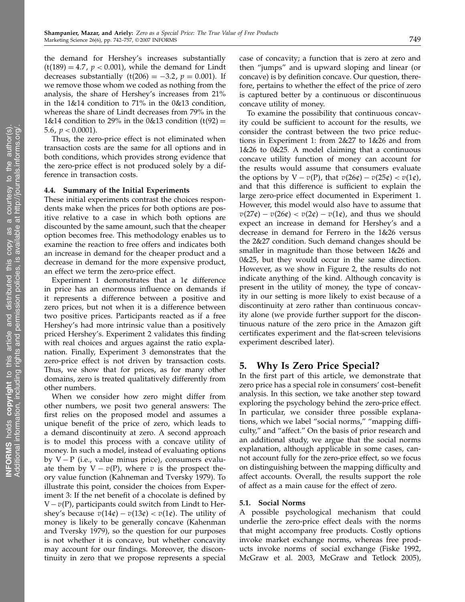the demand for Hershey's increases substantially  $(t(189) = 4.7, p < 0.001)$ , while the demand for Lindt decreases substantially  $(t(206) = -3.2, p = 0.001)$ . If we remove those whom we coded as nothing from the analysis, the share of Hershey's increases from 21% in the 1&14 condition to 71% in the 0&13 condition, whereas the share of Lindt decreases from 79% in the  $1\&14$  condition to 29% in the 0&13 condition (t(92) = 5.6*, p <* 0.0001).

Thus, the zero-price effect is not eliminated when transaction costs are the same for all options and in both conditions, which provides strong evidence that the zero-price effect is not produced solely by a difference in transaction costs.

#### 4.4. Summary of the Initial Experiments

These initial experiments contrast the choices respondents make when the prices for both options are positive relative to a case in which both options are discounted by the same amount, such that the cheaper option becomes free. This methodology enables us to examine the reaction to free offers and indicates both an increase in demand for the cheaper product and a decrease in demand for the more expensive product, an effect we term the zero-price effect.

Experiment 1 demonstrates that a  $1¢$  difference in price has an enormous influence on demands if it represents a difference between a positive and zero prices, but not when it is a difference between two positive prices. Participants reacted as if a free Hershey's had more intrinsic value than a positively priced Hershey's. Experiment 2 validates this finding with real choices and argues against the ratio explanation. Finally, Experiment 3 demonstrates that the zero-price effect is not driven by transaction costs. Thus, we show that for prices, as for many other domains, zero is treated qualitatively differently from other numbers.

When we consider how zero might differ from other numbers, we posit two general answers: The first relies on the proposed model and assumes a unique benefit of the price of zero, which leads to a demand discontinuity at zero. A second approach is to model this process with a concave utility of money. In such a model, instead of evaluating options by  $V - P$  (i.e., value minus price), consumers evaluate them by  $V - v(P)$ , where v is the prospect theory value function (Kahneman and Tversky 1979). To illustrate this point, consider the choices from Experiment 3: If the net benefit of a chocolate is defined by  $V-v(P)$ , participants could switch from Lindt to Hershey's because  $v(14\psi) - v(13\psi) < v(1\psi)$ . The utility of money is likely to be generally concave (Kahenman and Tversky 1979), so the question for our purposes is not whether it is concave, but whether concavity may account for our findings. Moreover, the discontinuity in zero that we propose represents a special

case of concavity; a function that is zero at zero and then "jumps" and is upward sloping and linear (or concave) is by definition concave. Our question, therefore, pertains to whether the effect of the price of zero is captured better by a continuous or discontinuous concave utility of money.

To examine the possibility that continuous concavity could be sufficient to account for the results, we consider the contrast between the two price reductions in Experiment 1: from 2&27 to 1&26 and from 1&26 to 0&25. A model claiming that a continuous concave utility function of money can account for the results would assume that consumers evaluate the options by  $V - v(P)$ , that  $v(26¢) - v(25¢) < v(1¢)$ , and that this difference is sufficient to explain the large zero-price effect documented in Experiment 1. However, this model would also have to assume that  $v(27¢) - v(26¢) < v(2¢) - v(1¢)$ , and thus we should expect an increase in demand for Hershey's and a decrease in demand for Ferrero in the 1&26 versus the 2&27 condition. Such demand changes should be smaller in magnitude than those between 1&26 and 0&25, but they would occur in the same direction. However, as we show in Figure 2, the results do not indicate anything of the kind. Although concavity is present in the utility of money, the type of concavity in our setting is more likely to exist because of a discontinuity at zero rather than continuous concavity alone (we provide further support for the discontinuous nature of the zero price in the Amazon gift certificates experiment and the flat-screen televisions experiment described later).

# 5. Why Is Zero Price Special?

In the first part of this article, we demonstrate that zero price has a special role in consumers' cost–benefit analysis. In this section, we take another step toward exploring the psychology behind the zero-price effect. In particular, we consider three possible explanations, which we label "social norms," "mapping difficulty," and "affect." On the basis of prior research and an additional study, we argue that the social norms explanation, although applicable in some cases, cannot account fully for the zero-price effect, so we focus on distinguishing between the mapping difficulty and affect accounts. Overall, the results support the role of affect as a main cause for the effect of zero.

#### 5.1. Social Norms

A possible psychological mechanism that could underlie the zero-price effect deals with the norms that might accompany free products. Costly options invoke market exchange norms, whereas free products invoke norms of social exchange (Fiske 1992, McGraw et al. 2003, McGraw and Tetlock 2005),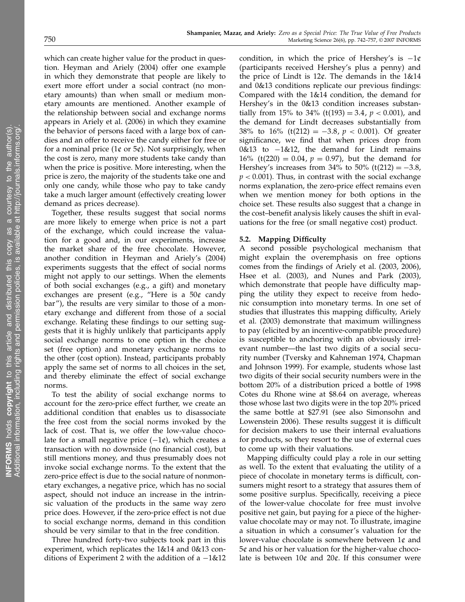which can create higher value for the product in question. Heyman and Ariely (2004) offer one example in which they demonstrate that people are likely to exert more effort under a social contract (no monetary amounts) than when small or medium monetary amounts are mentioned. Another example of the relationship between social and exchange norms appears in Ariely et al. (2006) in which they examine the behavior of persons faced with a large box of candies and an offer to receive the candy either for free or for a nominal price ( $1¢$  or  $5¢$ ). Not surprisingly, when the cost is zero, many more students take candy than when the price is positive. More interesting, when the price is zero, the majority of the students take one and only one candy, while those who pay to take candy take a much larger amount (effectively creating lower demand as prices decrease).

Together, these results suggest that social norms are more likely to emerge when price is not a part of the exchange, which could increase the valuation for a good and, in our experiments, increase the market share of the free chocolate. However, another condition in Heyman and Ariely's (2004) experiments suggests that the effect of social norms might not apply to our settings. When the elements of both social exchanges (e.g., a gift) and monetary exchanges are present (e.g., "Here is a 50¢ candy bar"), the results are very similar to those of a monetary exchange and different from those of a social exchange. Relating these findings to our setting suggests that it is highly unlikely that participants apply social exchange norms to one option in the choice set (free option) and monetary exchange norms to the other (cost option). Instead, participants probably apply the same set of norms to all choices in the set, and thereby eliminate the effect of social exchange norms.

To test the ability of social exchange norms to account for the zero-price effect further, we create an additional condition that enables us to disassociate the free cost from the social norms invoked by the lack of cost. That is, we offer the low-value chocolate for a small negative price  $(-1¢)$ , which creates a transaction with no downside (no financial cost), but still mentions money, and thus presumably does not invoke social exchange norms. To the extent that the zero-price effect is due to the social nature of nonmonetary exchanges, a negative price, which has no social aspect, should not induce an increase in the intrinsic valuation of the products in the same way zero price does. However, if the zero-price effect is not due to social exchange norms, demand in this condition should be very similar to that in the free condition.

Three hundred forty-two subjects took part in this experiment, which replicates the 1&14 and 0&13 conditions of Experiment 2 with the addition of a −1&12 condition, in which the price of Hershey's is  $-1$ ¢ (participants received Hershey's plus a penny) and the price of Lindt is  $12¢$ . The demands in the  $1\&14$ and 0&13 conditions replicate our previous findings: Compared with the 1&14 condition, the demand for Hershey's in the 0&13 condition increases substantially from 15% to 34% (t(193) = 3.4,  $p < 0.001$ ), and the demand for Lindt decreases substantially from 38% to 16% (t(212) =  $-3.8, p < 0.001$ ). Of greater significance, we find that when prices drop from 0&13 to −1&12, the demand for Lindt remains  $16\%$  (t(220) = 0.04,  $p = 0.97$ ), but the demand for Hershey's increases from  $34\%$  to  $50\%$  (t(212) =  $-3.8$ ,  $p < 0.001$ ). Thus, in contrast with the social exchange norms explanation, the zero-price effect remains even when we mention money for both options in the choice set. These results also suggest that a change in the cost–benefit analysis likely causes the shift in evaluations for the free (or small negative cost) product.

#### 5.2. Mapping Difficulty

A second possible psychological mechanism that might explain the overemphasis on free options comes from the findings of Ariely et al. (2003, 2006), Hsee et al. (2003), and Nunes and Park (2003), which demonstrate that people have difficulty mapping the utility they expect to receive from hedonic consumption into monetary terms. In one set of studies that illustrates this mapping difficulty, Ariely et al. (2003) demonstrate that maximum willingness to pay (elicited by an incentive-compatible procedure) is susceptible to anchoring with an obviously irrelevant number—the last two digits of a social security number (Tversky and Kahneman 1974, Chapman and Johnson 1999). For example, students whose last two digits of their social security numbers were in the bottom 20% of a distribution priced a bottle of 1998 Cotes du Rhone wine at \$8.64 on average, whereas those whose last two digits were in the top 20% priced the same bottle at \$27.91 (see also Simonsohn and Lowenstein 2006). These results suggest it is difficult for decision makers to use their internal evaluations for products, so they resort to the use of external cues to come up with their valuations.

Mapping difficulty could play a role in our setting as well. To the extent that evaluating the utility of a piece of chocolate in monetary terms is difficult, consumers might resort to a strategy that assures them of some positive surplus. Specifically, receiving a piece of the lower-value chocolate for free must involve positive net gain, but paying for a piece of the highervalue chocolate may or may not. To illustrate, imagine a situation in which a consumer's valuation for the lower-value chocolate is somewhere between  $1¢$  and  $5¢$  and his or her valuation for the higher-value chocolate is between  $10¢$  and  $20¢$ . If this consumer were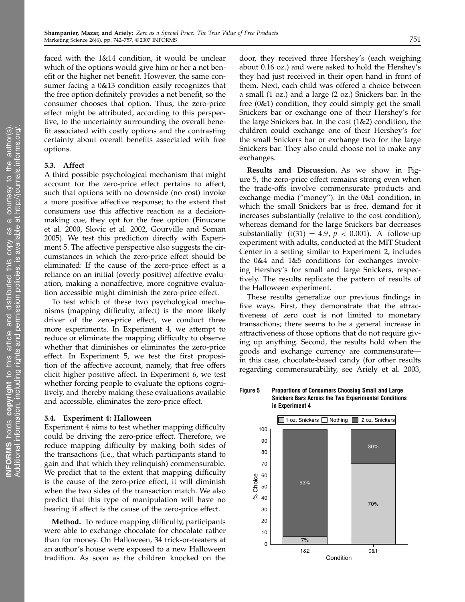faced with the 1&14 condition, it would be unclear which of the options would give him or her a net benefit or the higher net benefit. However, the same consumer facing a 0&13 condition easily recognizes that the free option definitely provides a net benefit, so the consumer chooses that option. Thus, the zero-price effect might be attributed, according to this perspective, to the uncertainty surrounding the overall benefit associated with costly options and the contrasting certainty about overall benefits associated with free options.

#### 5.3. Affect

A third possible psychological mechanism that might account for the zero-price effect pertains to affect, such that options with no downside (no cost) invoke a more positive affective response; to the extent that consumers use this affective reaction as a decisionmaking cue, they opt for the free option (Finucane et al. 2000, Slovic et al. 2002, Gourville and Soman 2005). We test this prediction directly with Experiment 5. The affective perspective also suggests the circumstances in which the zero-price effect should be eliminated: If the cause of the zero-price effect is a reliance on an initial (overly positive) affective evaluation, making a nonaffective, more cognitive evaluation accessible might diminish the zero-price effect.

To test which of these two psychological mechanisms (mapping difficulty, affect) is the more likely driver of the zero-price effect, we conduct three more experiments. In Experiment 4, we attempt to reduce or eliminate the mapping difficulty to observe whether that diminishes or eliminates the zero-price effect. In Experiment 5, we test the first proposition of the affective account, namely, that free offers elicit higher positive affect. In Experiment 6, we test whether forcing people to evaluate the options cognitively, and thereby making these evaluations available and accessible, eliminates the zero-price effect.

#### 5.4. Experiment 4: Halloween

Experiment 4 aims to test whether mapping difficulty could be driving the zero-price effect. Therefore, we reduce mapping difficulty by making both sides of the transactions (i.e., that which participants stand to gain and that which they relinquish) commensurable. We predict that to the extent that mapping difficulty is the cause of the zero-price effect, it will diminish when the two sides of the transaction match. We also predict that this type of manipulation will have no bearing if affect is the cause of the zero-price effect.

Method. To reduce mapping difficulty, participants were able to exchange chocolate for chocolate rather than for money. On Halloween, 34 trick-or-treaters at an author's house were exposed to a new Halloween tradition. As soon as the children knocked on the

door, they received three Hershey's (each weighing about 0.16 oz.) and were asked to hold the Hershey's they had just received in their open hand in front of them. Next, each child was offered a choice between a small (1 oz.) and a large (2 oz.) Snickers bar. In the free (0&1) condition, they could simply get the small Snickers bar or exchange one of their Hershey's for the large Snickers bar. In the cost (1&2) condition, the children could exchange one of their Hershey's for the small Snickers bar or exchange two for the large Snickers bar. They also could choose not to make any exchanges.

Results and Discussion. As we show in Figure 5, the zero-price effect remains strong even when the trade-offs involve commensurate products and exchange media ("money"). In the 0&1 condition, in which the small Snickers bar is free, demand for it increases substantially (relative to the cost condition), whereas demand for the large Snickers bar decreases substantially  $(t(31) = 4.9, p < 0.001)$ . A follow-up experiment with adults, conducted at the MIT Student Center in a setting similar to Experiment 2, includes the 0&4 and 1&5 conditions for exchanges involving Hershey's for small and large Snickers, respectively. The results replicate the pattern of results of the Halloween experiment.

These results generalize our previous findings in five ways. First, they demonstrate that the attractiveness of zero cost is not limited to monetary transactions; there seems to be a general increase in attractiveness of those options that do not require giving up anything. Second, the results hold when the goods and exchange currency are commensurate in this case, chocolate-based candy (for other results regarding commensurability, see Ariely et al. 2003,

Figure 5 Proportions of Consumers Choosing Small and Large Snickers Bars Across the Two Experimental Conditions in Experiment 4

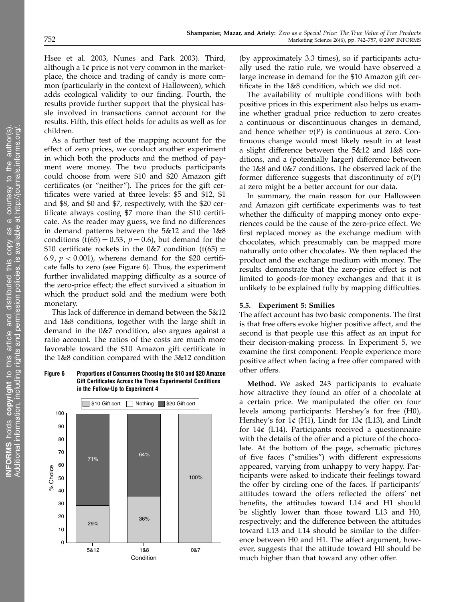Hsee et al. 2003, Nunes and Park 2003). Third, although a  $1¢$  price is not very common in the marketplace, the choice and trading of candy is more common (particularly in the context of Halloween), which adds ecological validity to our finding. Fourth, the results provide further support that the physical hassle involved in transactions cannot account for the results. Fifth, this effect holds for adults as well as for children.

As a further test of the mapping account for the effect of zero prices, we conduct another experiment in which both the products and the method of payment were money. The two products participants could choose from were \$10 and \$20 Amazon gift certificates (or "neither"). The prices for the gift certificates were varied at three levels: \$5 and \$12, \$1 and \$8, and \$0 and \$7, respectively, with the \$20 certificate always costing \$7 more than the \$10 certificate. As the reader may guess, we find no differences in demand patterns between the 5&12 and the 1&8 conditions ( $t(65) = 0.53$ ,  $p = 0.6$ ), but demand for the  $$10$  certificate rockets in the 0&7 condition (t(65) = 6.9,  $p < 0.001$ ), whereas demand for the \$20 certificate falls to zero (see Figure 6). Thus, the experiment further invalidated mapping difficulty as a source of the zero-price effect; the effect survived a situation in which the product sold and the medium were both monetary.

This lack of difference in demand between the 5&12 and 1&8 conditions, together with the large shift in demand in the 0&7 condition, also argues against a ratio account. The ratios of the costs are much more favorable toward the \$10 Amazon gift certificate in the 1&8 condition compared with the 5&12 condition

#### Figure 6 Proportions of Consumers Choosing the \$10 and \$20 Amazon Gift Certificates Across the Three Experimental Conditions in the Follow-Up to Experiment 4



(by approximately 3.3 times), so if participants actually used the ratio rule, we would have observed a large increase in demand for the \$10 Amazon gift certificate in the 1&8 condition, which we did not.

The availability of multiple conditions with both positive prices in this experiment also helps us examine whether gradual price reduction to zero creates a continuous or discontinuous changes in demand, and hence whether  $v(P)$  is continuous at zero. Continuous change would most likely result in at least a slight difference between the 5&12 and 1&8 conditions, and a (potentially larger) difference between the 1&8 and 0&7 conditions. The observed lack of the former difference suggests that discontinuity of  $v(P)$ at zero might be a better account for our data.

In summary, the main reason for our Halloween and Amazon gift certificate experiments was to test whether the difficulty of mapping money onto experiences could be the cause of the zero-price effect. We first replaced money as the exchange medium with chocolates, which presumably can be mapped more naturally onto other chocolates. We then replaced the product and the exchange medium with money. The results demonstrate that the zero-price effect is not limited to goods-for-money exchanges and that it is unlikely to be explained fully by mapping difficulties.

# 5.5. Experiment 5: Smilies

The affect account has two basic components. The first is that free offers evoke higher positive affect, and the second is that people use this affect as an input for their decision-making process. In Experiment 5, we examine the first component: People experience more positive affect when facing a free offer compared with other offers.

Method. We asked 243 participants to evaluate how attractive they found an offer of a chocolate at a certain price. We manipulated the offer on four levels among participants: Hershey's for free (H0), Hershey's for  $1¢$  (H1), Lindt for  $13¢$  (L13), and Lindt for  $14¢$  (L14). Participants received a questionnaire with the details of the offer and a picture of the chocolate. At the bottom of the page, schematic pictures of five faces ("smilies") with different expressions appeared, varying from unhappy to very happy. Participants were asked to indicate their feelings toward the offer by circling one of the faces. If participants' attitudes toward the offers reflected the offers' net benefits, the attitudes toward L14 and H1 should be slightly lower than those toward L13 and H0, respectively; and the difference between the attitudes toward L13 and L14 should be similar to the difference between H0 and H1. The affect argument, however, suggests that the attitude toward H0 should be much higher than that toward any other offer.

INFORMS holds copyright to this article and distributed this cop

Additional information, including rights and permission policies, is

y as  $\overline{\sigma}$ 

a

courtesy to the author(s).

vailable at http://journals.informs.org/.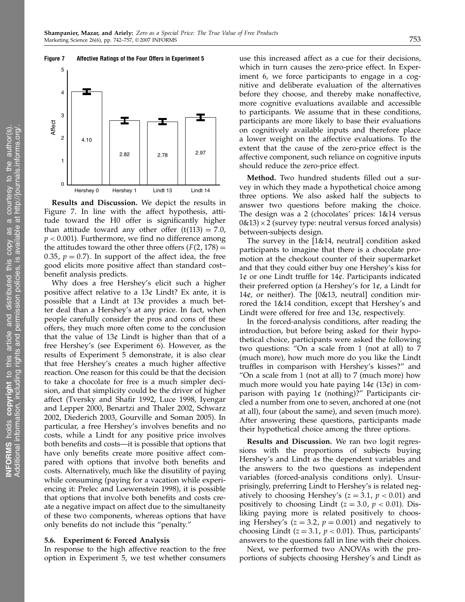### Figure 7 Affective Ratings of the Four Offers in Experiment 5



Results and Discussion. We depict the results in Figure 7. In line with the affect hypothesis, attitude toward the H0 offer is significantly higher than attitude toward any other offer  $(t(113) = 7.0)$ ,  $p < 0.001$ ). Furthermore, we find no difference among the attitudes toward the other three offers  $(F(2, 178)) =$ 0.35,  $p = 0.7$ ). In support of the affect idea, the free good elicits more positive affect than standard cost– benefit analysis predicts.

Why does a free Hershey's elicit such a higher positive affect relative to a  $13¢$  Lindt? Ex ante, it is possible that a Lindt at  $13¢$  provides a much better deal than a Hershey's at any price. In fact, when people carefully consider the pros and cons of these offers, they much more often come to the conclusion that the value of  $13¢$  Lindt is higher than that of a free Hershey's (see Experiment 6). However, as the results of Experiment 5 demonstrate, it is also clear that free Hershey's creates a much higher affective reaction. One reason for this could be that the decision to take a chocolate for free is a much simpler decision, and that simplicity could be the driver of higher affect (Tversky and Shafir 1992, Luce 1998, Iyengar and Lepper 2000, Benartzi and Thaler 2002, Schwarz 2002, Diederich 2003, Gourville and Soman 2005). In particular, a free Hershey's involves benefits and no costs, while a Lindt for any positive price involves both benefits and costs—it is possible that options that have only benefits create more positive affect compared with options that involve both benefits and costs. Alternatively, much like the disutility of paying while consuming (paying for a vacation while experiencing it: Prelec and Loewenstein 1998), it is possible that options that involve both benefits and costs create a negative impact on affect due to the simultaneity of these two components, whereas options that have only benefits do not include this "penalty."

#### 5.6. Experiment 6: Forced Analysis

In response to the high affective reaction to the free option in Experiment 5, we test whether consumers use this increased affect as a cue for their decisions, which in turn causes the zero-price effect. In Experiment 6, we force participants to engage in a cognitive and deliberate evaluation of the alternatives before they choose, and thereby make nonaffective, more cognitive evaluations available and accessible to participants. We assume that in these conditions, participants are more likely to base their evaluations on cognitively available inputs and therefore place a lower weight on the affective evaluations. To the extent that the cause of the zero-price effect is the affective component, such reliance on cognitive inputs should reduce the zero-price effect.

Method. Two hundred students filled out a survey in which they made a hypothetical choice among three options. We also asked half the subjects to answer two questions before making the choice. The design was a 2 (chocolates' prices: 1&14 versus  $0&13$  × 2 (survey type: neutral versus forced analysis) between-subjects design.

The survey in the [1&14, neutral] condition asked participants to imagine that there is a chocolate promotion at the checkout counter of their supermarket and that they could either buy one Hershey's kiss for  $1¢$  or one Lindt truffle for  $14¢$ . Participants indicated their preferred option (a Hershey's for  $1¢$ , a Lindt for 14¢, or neither). The  $[0&13$ , neutrall condition mirrored the 1&14 condition, except that Hershey's and Lindt were offered for free and 13¢, respectively.

In the forced-analysis conditions, after reading the introduction, but before being asked for their hypothetical choice, participants were asked the following two questions: "On a scale from 1 (not at all) to 7 (much more), how much more do you like the Lindt truffles in comparison with Hershey's kisses?" and "On a scale from 1 (not at all) to 7 (much more) how much more would you hate paying  $14¢$  ( $13¢$ ) in comparison with paying  $1¢$  (nothing)?" Participants circled a number from one to seven, anchored at one (not at all), four (about the same), and seven (much more). After answering these questions, participants made their hypothetical choice among the three options.

Results and Discussion. We ran two logit regressions with the proportions of subjects buying Hershey's and Lindt as the dependent variables and the answers to the two questions as independent variables (forced-analysis conditions only). Unsurprisingly, preferring Lindt to Hershey's is related negatively to choosing Hershey's ( $z = 3.1$ ,  $p < 0.01$ ) and positively to choosing Lindt ( $z = 3.0$ ,  $p < 0.01$ ). Disliking paying more is related positively to choosing Hershey's ( $z = 3.2$ ,  $p = 0.001$ ) and negatively to choosing Lindt ( $z = 3.1$ ,  $p < 0.01$ ). Thus, participants' answers to the questions fall in line with their choices.

Next, we performed two ANOVAs with the proportions of subjects choosing Hershey's and Lindt as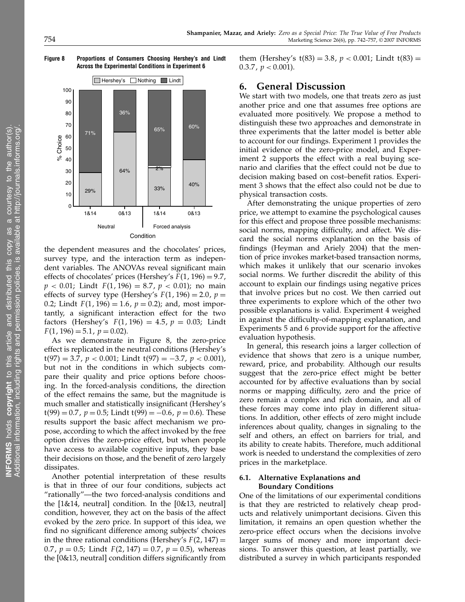Figure 8 Proportions of Consumers Choosing Hershey's and Lindt Across the Experimental Conditions in Experiment 6



the dependent measures and the chocolates' prices, survey type, and the interaction term as independent variables. The ANOVAs reveal significant main effects of chocolates' prices (Hershey's  $F(1, 196) = 9.7$ ,  $p < 0.01$ ; Lindt  $F(1, 196) = 8.7$ ,  $p < 0.01$ ); no main effects of survey type (Hershey's  $F(1, 196) = 2.0$ ,  $p =$ 0.2; Lindt  $F(1, 196) = 1.6$ ,  $p = 0.2$ ); and, most importantly, a significant interaction effect for the two factors (Hershey's  $F(1, 196) = 4.5$ ,  $p = 0.03$ ; Lindt  $F(1, 196) = 5.1, p = 0.02$ .

As we demonstrate in Figure 8, the zero-price effect is replicated in the neutral conditions (Hershey's  $t(97) = 3.7$ ,  $p < 0.001$ ; Lindt  $t(97) = -3.7$ ,  $p < 0.001$ ), but not in the conditions in which subjects compare their quality and price options before choosing. In the forced-analysis conditions, the direction of the effect remains the same, but the magnitude is much smaller and statistically insignificant (Hershey's  $t(99) = 0.7$ ,  $p = 0.5$ ; Lindt  $t(99) = -0.6$ ,  $p = 0.6$ ). These results support the basic affect mechanism we propose, according to which the affect invoked by the free option drives the zero-price effect, but when people have access to available cognitive inputs, they base their decisions on those, and the benefit of zero largely dissipates.

Another potential interpretation of these results is that in three of our four conditions, subjects act "rationally"—the two forced-analysis conditions and the  $[1&14$ , neutral] condition. In the  $[0&13]$ , neutral] condition, however, they act on the basis of the affect evoked by the zero price. In support of this idea, we find no significant difference among subjects' choices in the three rational conditions (Hershey's  $F(2, 147) =$ 0.7,  $p = 0.5$ ; Lindt  $F(2, 147) = 0.7$ ,  $p = 0.5$ ), whereas the [0&13, neutral] condition differs significantly from

them (Hershey's  $t(83) = 3.8$ ,  $p < 0.001$ ; Lindt  $t(83) =$  $0.3.7$  ,  $p < 0.001$ ).

# 6. General Discussion

We start with two models, one that treats zero as just another price and one that assumes free options are evaluated more positively. We propose a method to distinguish these two approaches and demonstrate in three experiments that the latter model is better able to account for our findings. Experiment 1 provides the initial evidence of the zero-price model, and Experiment 2 supports the effect with a real buying scenario and clarifies that the effect could not be due to decision making based on cost–benefit ratios. Experiment 3 shows that the effect also could not be due to physical transaction costs.

After demonstrating the unique properties of zero price, we attempt to examine the psychological causes for this effect and propose three possible mechanisms: social norms, mapping difficulty, and affect. We discard the social norms explanation on the basis of findings (Heyman and Ariely 2004) that the mention of price invokes market-based transaction norms, which makes it unlikely that our scenario invokes social norms. We further discredit the ability of this account to explain our findings using negative prices that involve prices but no cost. We then carried out three experiments to explore which of the other two possible explanations is valid. Experiment 4 weighed in against the difficulty-of-mapping explanation, and Experiments 5 and 6 provide support for the affective evaluation hypothesis.

In general, this research joins a larger collection of evidence that shows that zero is a unique number, reward, price, and probability. Although our results suggest that the zero-price effect might be better accounted for by affective evaluations than by social norms or mapping difficulty, zero and the price of zero remain a complex and rich domain, and all of these forces may come into play in different situations. In addition, other effects of zero might include inferences about quality, changes in signaling to the self and others, an effect on barriers for trial, and its ability to create habits. Therefore, much additional work is needed to understand the complexities of zero prices in the marketplace.

# 6.1. Alternative Explanations and Boundary Conditions

One of the limitations of our experimental conditions is that they are restricted to relatively cheap products and relatively unimportant decisions. Given this limitation, it remains an open question whether the zero-price effect occurs when the decisions involve larger sums of money and more important decisions. To answer this question, at least partially, we distributed a survey in which participants responded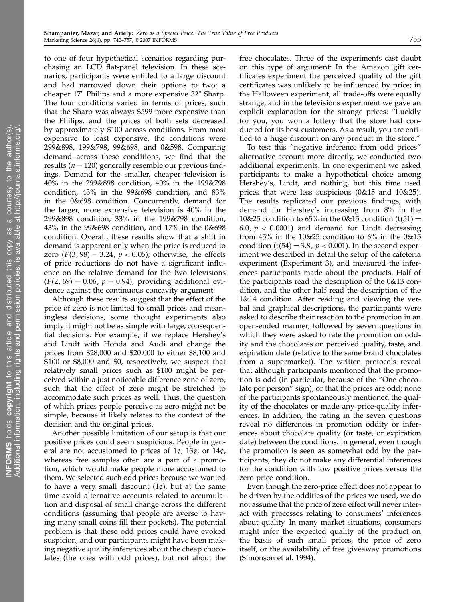to one of four hypothetical scenarios regarding purchasing an LCD flat-panel television. In these scenarios, participants were entitled to a large discount and had narrowed down their options to two: a cheaper 17" Philips and a more expensive 32" Sharp. The four conditions varied in terms of prices, such that the Sharp was always \$599 more expensive than the Philips, and the prices of both sets decreased by approximately \$100 across conditions. From most expensive to least expensive, the conditions were 299&898, 199&798, 99&698, and 0&598. Comparing demand across these conditions, we find that the results ( $n = 120$ ) generally resemble our previous findings. Demand for the smaller, cheaper television is 40% in the 299&898 condition, 40% in the 199&798 condition, 43% in the 99&698 condition, and 83% in the 0&698 condition. Concurrently, demand for the larger, more expensive television is 40% in the 299&898 condition, 33% in the 199&798 condition, 43% in the 99&698 condition, and 17% in the 0&698 condition. Overall, these results show that a shift in demand is apparent only when the price is reduced to zero  $(F(3, 98) = 3.24, p < 0.05)$ ; otherwise, the effects of price reductions do not have a significant influence on the relative demand for the two televisions  $(F(2, 69) = 0.06, p = 0.94)$ , providing additional evidence against the continuous concavity argument.

Although these results suggest that the effect of the price of zero is not limited to small prices and meaningless decisions, some thought experiments also imply it might not be as simple with large, consequential decisions. For example, if we replace Hershey's and Lindt with Honda and Audi and change the prices from \$28,000 and \$20,000 to either \$8,100 and \$100 or \$8,000 and \$0, respectively, we suspect that relatively small prices such as \$100 might be perceived within a just noticeable difference zone of zero, such that the effect of zero might be stretched to accommodate such prices as well. Thus, the question of which prices people perceive as zero might not be simple, because it likely relates to the context of the decision and the original prices.

Another possible limitation of our setup is that our positive prices could seem suspicious. People in general are not accustomed to prices of  $1¢$ ,  $13¢$ , or  $14¢$ , whereas free samples often are a part of a promotion, which would make people more accustomed to them. We selected such odd prices because we wanted to have a very small discount  $(1¢)$ , but at the same time avoid alternative accounts related to accumulation and disposal of small change across the different conditions (assuming that people are averse to having many small coins fill their pockets). The potential problem is that these odd prices could have evoked suspicion, and our participants might have been making negative quality inferences about the cheap chocolates (the ones with odd prices), but not about the

free chocolates. Three of the experiments cast doubt on this type of argument: In the Amazon gift certificates experiment the perceived quality of the gift certificates was unlikely to be influenced by price; in the Halloween experiment, all trade-offs were equally strange; and in the televisions experiment we gave an explicit explanation for the strange prices: "Luckily for you, you won a lottery that the store had conducted for its best customers. As a result, you are entitled to a huge discount on any product in the store."

To test this "negative inference from odd prices" alternative account more directly, we conducted two additional experiments. In one experiment we asked participants to make a hypothetical choice among Hershey's, Lindt, and nothing, but this time used prices that were less suspicious (0&15 and 10&25). The results replicated our previous findings, with demand for Hershey's increasing from 8% in the 10&25 condition to  $65\%$  in the 0&15 condition (t(51) = 6.0,  $p < 0.0001$ ) and demand for Lindt decreasing from 45% in the 10&25 condition to 6% in the 0&15 condition ( $t(54) = 3.8$ ,  $p < 0.001$ ). In the second experiment we described in detail the setup of the cafeteria experiment (Experiment 3), and measured the inferences participants made about the products. Half of the participants read the description of the 0&13 condition, and the other half read the description of the 1&14 condition. After reading and viewing the verbal and graphical descriptions, the participants were asked to describe their reaction to the promotion in an open-ended manner, followed by seven questions in which they were asked to rate the promotion on oddity and the chocolates on perceived quality, taste, and expiration date (relative to the same brand chocolates from a supermarket). The written protocols reveal that although participants mentioned that the promotion is odd (in particular, because of the "One chocolate per person" sign), or that the prices are odd; none of the participants spontaneously mentioned the quality of the chocolates or made any price-quality inferences. In addition, the rating in the seven questions reveal no differences in promotion oddity or inferences about chocolate quality (or taste, or expiration date) between the conditions. In general, even though the promotion is seen as somewhat odd by the participants, they do not make any differential inferences for the condition with low positive prices versus the zero-price condition.

Even though the zero-price effect does not appear to be driven by the oddities of the prices we used, we do not assume that the price of zero effect will never interact with processes relating to consumers' inferences about quality. In many market situations, consumers might infer the expected quality of the product on the basis of such small prices, the price of zero itself, or the availability of free giveaway promotions (Simonson et al. 1994).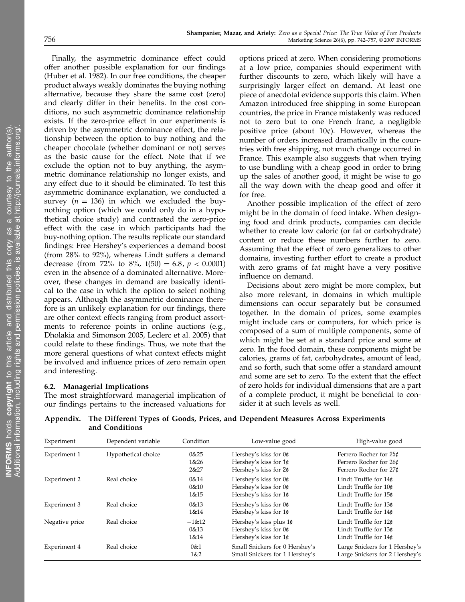Finally, the asymmetric dominance effect could offer another possible explanation for our findings (Huber et al. 1982). In our free conditions, the cheaper product always weakly dominates the buying nothing alternative, because they share the same cost (zero) and clearly differ in their benefits. In the cost conditions, no such asymmetric dominance relationship exists. If the zero-price effect in our experiments is driven by the asymmetric dominance effect, the relationship between the option to buy nothing and the cheaper chocolate (whether dominant or not) serves as the basic cause for the effect. Note that if we exclude the option not to buy anything, the asymmetric dominance relationship no longer exists, and any effect due to it should be eliminated. To test this asymmetric dominance explanation, we conducted a survey ( $n = 136$ ) in which we excluded the buynothing option (which we could only do in a hypothetical choice study) and contrasted the zero-price effect with the case in which participants had the buy-nothing option. The results replicate our standard findings: Free Hershey's experiences a demand boost (from 28% to 92%), whereas Lindt suffers a demand decrease (from 72% to 8%,  $t(50) = 6.8, p < 0.0001$ ) even in the absence of a dominated alternative. Moreover, these changes in demand are basically identical to the case in which the option to select nothing appears. Although the asymmetric dominance therefore is an unlikely explanation for our findings, there are other context effects ranging from product assortments to reference points in online auctions (e.g., Dholakia and Simonson 2005, Leclerc et al. 2005) that could relate to these findings. Thus, we note that the more general questions of what context effects might be involved and influence prices of zero remain open and interesting.

# 6.2. Managerial Implications

The most straightforward managerial implication of our findings pertains to the increased valuations for

options priced at zero. When considering promotions at a low price, companies should experiment with further discounts to zero, which likely will have a surprisingly larger effect on demand. At least one piece of anecdotal evidence supports this claim. When Amazon introduced free shipping in some European countries, the price in France mistakenly was reduced not to zero but to one French franc, a negligible positive price (about  $10¢$ ). However, whereas the number of orders increased dramatically in the countries with free shipping, not much change occurred in France. This example also suggests that when trying to use bundling with a cheap good in order to bring up the sales of another good, it might be wise to go all the way down with the cheap good and offer it for free.

Another possible implication of the effect of zero might be in the domain of food intake. When designing food and drink products, companies can decide whether to create low caloric (or fat or carbohydrate) content or reduce these numbers further to zero. Assuming that the effect of zero generalizes to other domains, investing further effort to create a product with zero grams of fat might have a very positive influence on demand.

Decisions about zero might be more complex, but also more relevant, in domains in which multiple dimensions can occur separately but be consumed together. In the domain of prices, some examples might include cars or computers, for which price is composed of a sum of multiple components, some of which might be set at a standard price and some at zero. In the food domain, these components might be calories, grams of fat, carbohydrates, amount of lead, and so forth, such that some offer a standard amount and some are set to zero. To the extent that the effect of zero holds for individual dimensions that are a part of a complete product, it might be beneficial to consider it at such levels as well.

Appendix. The Different Types of Goods, Prices, and Dependent Measures Across Experiments and Conditions

| Experiment     | Dependent variable  | Condition                 | Low-value good                                                            | High-value good                                                            |
|----------------|---------------------|---------------------------|---------------------------------------------------------------------------|----------------------------------------------------------------------------|
| Experiment 1   | Hypothetical choice | 0 & 25<br>1&26<br>2&27    | Hershey's kiss for $0¢$<br>Hershey's kiss for 1¢<br>Hershey's kiss for 2¢ | Ferrero Rocher for 25¢<br>Ferrero Rocher for 26¢<br>Ferrero Rocher for 27¢ |
| Experiment 2   | Real choice         | 0 & 14<br>0 & 10<br>1&15  | Hershey's kiss for 0¢<br>Hershey's kiss for 0¢<br>Hershey's kiss for 1¢   | Lindt Truffle for 14¢<br>Lindt Truffle for 10¢<br>Lindt Truffle for 15¢    |
| Experiment 3   | Real choice         | 0 & 13<br>1&14            | Hershey's kiss for $0\ell$<br>Hershey's kiss for 1¢                       | Lindt Truffle for 13¢<br>Lindt Truffle for 14¢                             |
| Negative price | Real choice         | $-1&12$<br>0 & 13<br>1&14 | Hershey's kiss plus 1¢<br>Hershey's kiss for 0¢<br>Hershey's kiss for 1¢  | Lindt Truffle for 12¢<br>Lindt Truffle for 13¢<br>Lindt Truffle for 14¢    |
| Experiment 4   | Real choice         | 0&1<br>1&2                | Small Snickers for 0 Hershey's<br>Small Snickers for 1 Hershey's          | Large Snickers for 1 Hershey's<br>Large Snickers for 2 Hershey's           |